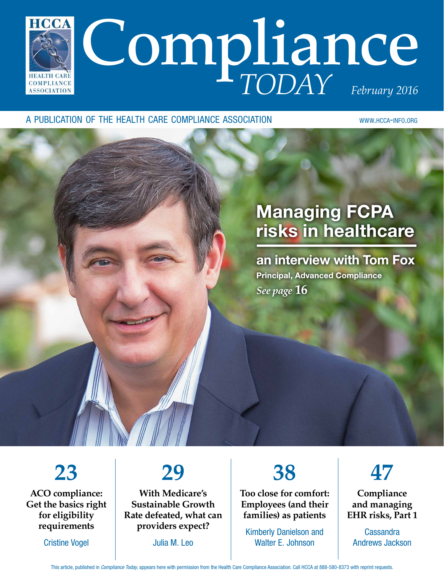

#### a publication of the health care compliance association www.hcca-info.org

### Managing FCPA risks in healthcare

an interview with Tom Fox Principal, Advanced Compliance *See page* **16**

**23**

**ACO compliance: Get the basics right for eligibility requirements**

Cristine Vogel

## **29**

**With Medicare's Sustainable Growth Rate defeated, what can providers expect?**

Julia M. Leo

**38**

**Too close for comfort: Employees (and their families) as patients**

Kimberly Danielson and Walter E. Johnson



**Compliance and managing EHR risks, Part 1**

Cassandra Andrews Jackson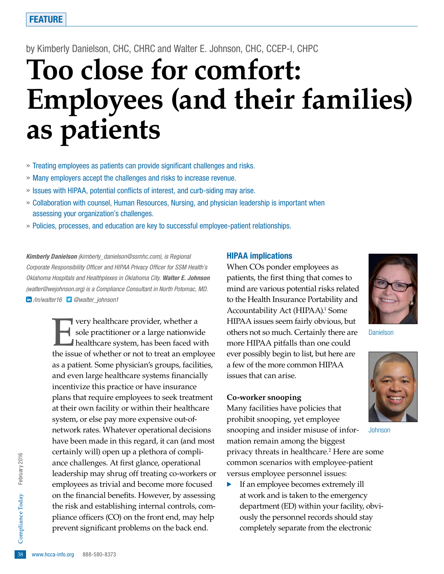#### by Kimberly Danielson, CHC, CHRC and Walter E. Johnson, CHC, CCEP-I, CHPC

# **Too close for comfort: Employees (and their families) as patients**

- » Treating employees as patients can provide significant challenges and risks.
- » Many employers accept the challenges and risks to increase revenue.
- » Issues with HIPAA, potential conflicts of interest, and curb-siding may arise.
- » Collaboration with counsel, Human Resources, Nursing, and physician leadership is important when assessing your organization's challenges.
- » Policies, processes, and education are key to successful employee-patient relationships.

*Kimberly Danielson (kimberly\_danielson@ssmhc.com), is Regional Corporate Responsibility Officer and HIPAA Privacy Officer for SSM Health's Oklahoma Hospitals and Healthplexes in Oklahoma City. Walter E. Johnson (walter@wejohnson.org) is a Compliance Consultant in North Potomac, MD. /in/walter16 @walter\_johnson1*

pliance officers (CO) on the front end, may help<br>prevent significant problems on the back end.<br>38 www.hcca-info.org 888-580-8373 **EVERY healthcare provider, whether a**<br>sole practitioner or a large nationwide<br>healthcare system, has been faced with sole practitioner or a large nationwide healthcare system, has been faced with the issue of whether or not to treat an employee as a patient. Some physician's groups, facilities, and even large healthcare systems financially incentivize this practice or have insurance plans that require employees to seek treatment at their own facility or within their healthcare system, or else pay more expensive out-ofnetwork rates. Whatever operational decisions have been made in this regard, it can (and most certainly will) open up a plethora of compliance challenges. At first glance, operational leadership may shrug off treating co-workers or employees as trivial and become more focused on the financial benefits. However, by assessing the risk and establishing internal controls, comprevent significant problems on the back end.

#### HIPAA implications

When COs ponder employees as patients, the first thing that comes to mind are various potential risks related to the Health Insurance Portability and Accountability Act (HIPAA).<sup>1</sup> Some HIPAA issues seem fairly obvious, but others not so much. Certainly there are more HIPAA pitfalls than one could ever possibly begin to list, but here are a few of the more common HIPAA issues that can arise.

#### **Co-worker snooping**

Many facilities have policies that prohibit snooping, yet employee snooping and insider misuse of information remain among the biggest privacy threats in healthcare.2 Here are some common scenarios with employee-patient versus employee personnel issues:

· If an employee becomes extremely ill at work and is taken to the emergency department (ED) within your facility, obviously the personnel records should stay completely separate from the electronic



Danielson



**Johnson**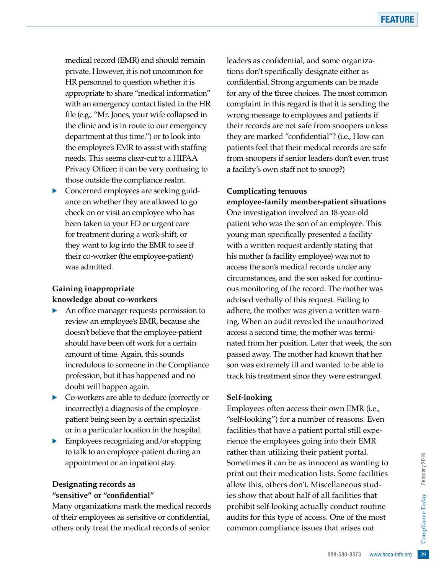medical record (EMR) and should remain private. However, it is not uncommon for HR personnel to question whether it is appropriate to share "medical information" with an emergency contact listed in the HR file (e.g., "Mr. Jones, your wife collapsed in the clinic and is in route to our emergency department at this time.") or to look into the employee's EMR to assist with staffing needs. This seems clear-cut to a HIPAA Privacy Officer; it can be very confusing to those outside the compliance realm.

· Concerned employees are seeking guidance on whether they are allowed to go check on or visit an employee who has been taken to your ED or urgent care for treatment during a work-shift, or they want to log into the EMR to see if their co-worker (the employee-patient) was admitted.

#### **Gaining inappropriate knowledge about co-workers**

- · An office manager requests permission to review an employee's EMR, because she doesn't believe that the employee-patient should have been off work for a certain amount of time. Again, this sounds incredulous to someone in the Compliance profession, but it has happened and no doubt will happen again.
- · Co-workers are able to deduce (correctly or incorrectly) a diagnosis of the employeepatient being seen by a certain specialist or in a particular location in the hospital.
- Employees recognizing and/or stopping to talk to an employee-patient during an appointment or an inpatient stay.

#### **Designating records as "sensitive" or "confidential"**

Many organizations mark the medical records of their employees as sensitive or confidential, others only treat the medical records of senior

leaders as confidential, and some organizations don't specifically designate either as confidential. Strong arguments can be made for any of the three choices. The most common complaint in this regard is that it is sending the wrong message to employees and patients if their records are not safe from snoopers unless they are marked "confidential"? (i.e., How can patients feel that their medical records are safe from snoopers if senior leaders don't even trust a facility's own staff not to snoop?)

#### **Complicating tenuous**

**employee-family member-patient situations** One investigation involved an 18-year-old patient who was the son of an employee. This young man specifically presented a facility with a written request ardently stating that his mother (a facility employee) was not to access the son's medical records under any circumstances, and the son asked for continuous monitoring of the record. The mother was advised verbally of this request. Failing to adhere, the mother was given a written warning. When an audit revealed the unauthorized access a second time, the mother was terminated from her position. Later that week, the son passed away. The mother had known that her son was extremely ill and wanted to be able to track his treatment since they were estranged.

#### **Self-looking**

Exercise the most of the most of the most of the most of the most of the most of the most of the most of the most of the most  $\frac{1}{2}$ <br>  $\frac{1}{2}$ <br>  $\frac{1}{2}$ <br>  $\frac{1}{2}$ <br>  $\frac{1}{2}$ <br>  $\frac{1}{2}$ <br>  $\frac{1}{2}$ <br>  $\frac{1}{2}$ <br>  $\frac{1}{2}$ Employees often access their own EMR (i.e., "self-looking") for a number of reasons. Even facilities that have a patient portal still experience the employees going into their EMR rather than utilizing their patient portal. Sometimes it can be as innocent as wanting to print out their medication lists. Some facilities allow this, others don't. Miscellaneous studies show that about half of all facilities that prohibit self-looking actually conduct routine audits for this type of access. One of the most common compliance issues that arises out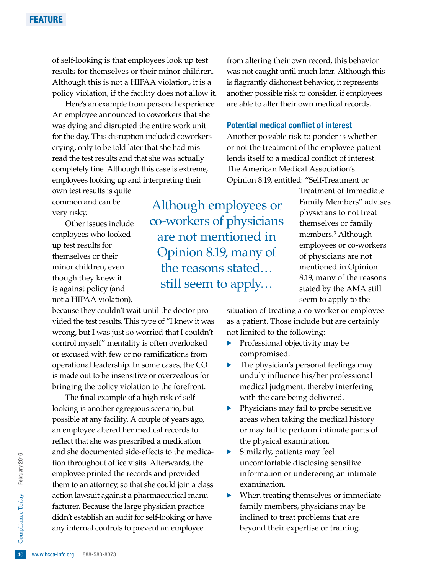of self-looking is that employees look up test results for themselves or their minor children. Although this is not a HIPAA violation, it is a policy violation, if the facility does not allow it.

Here's an example from personal experience: An employee announced to coworkers that she was dying and disrupted the entire work unit for the day. This disruption included coworkers crying, only to be told later that she had misread the test results and that she was actually completely fine. Although this case is extreme, employees looking up and interpreting their

own test results is quite common and can be very risky.

Other issues include employees who looked up test results for themselves or their minor children, even though they knew it is against policy (and not a HIPAA violation),

because they couldn't wait until the doctor provided the test results. This type of "I knew it was wrong, but I was just so worried that I couldn't control myself" mentality is often overlooked or excused with few or no ramifications from operational leadership. In some cases, the CO is made out to be insensitive or overzealous for bringing the policy violation to the forefront.

didn't establish an audit for self-looking or have<br>
any internal controls to prevent an employee<br>  $\frac{6}{9}$ <br>
www.hcca-info.org 888-580-8373 The final example of a high risk of selflooking is another egregious scenario, but possible at any facility. A couple of years ago, an employee altered her medical records to reflect that she was prescribed a medication and she documented side-effects to the medication throughout office visits. Afterwards, the employee printed the records and provided them to an attorney, so that she could join a class action lawsuit against a pharmaceutical manufacturer. Because the large physician practice any internal controls to prevent an employee

from altering their own record, this behavior was not caught until much later. Although this is flagrantly dishonest behavior, it represents another possible risk to consider, if employees are able to alter their own medical records.

#### Potential medical conflict of interest

Another possible risk to ponder is whether or not the treatment of the employee-patient lends itself to a medical conflict of interest. The American Medical Association's Opinion 8.19, entitled: "Self-Treatment or

Although employees or co-workers of physicians are not mentioned in Opinion 8.19, many of the reasons stated… still seem to apply…

Treatment of Immediate Family Members" advises physicians to not treat themselves or family members.3 Although employees or co-workers of physicians are not mentioned in Opinion 8.19, many of the reasons stated by the AMA still seem to apply to the

situation of treating a co-worker or employee as a patient. Those include but are certainly not limited to the following:

- Professional objectivity may be compromised.
- The physician's personal feelings may unduly influence his/her professional medical judgment, thereby interfering with the care being delivered.
- · Physicians may fail to probe sensitive areas when taking the medical history or may fail to perform intimate parts of the physical examination.
- Similarly, patients may feel uncomfortable disclosing sensitive information or undergoing an intimate examination.
- When treating themselves or immediate family members, physicians may be inclined to treat problems that are beyond their expertise or training.

February 2016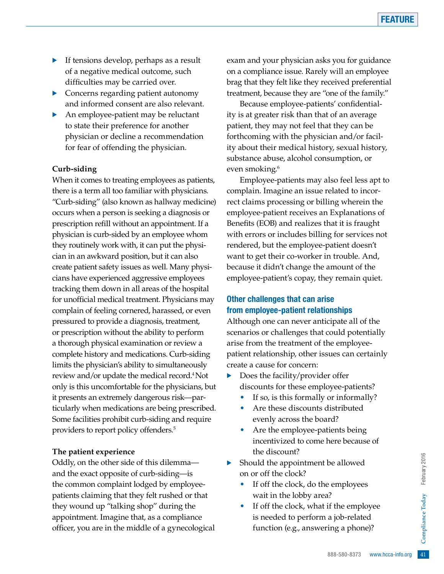- · If tensions develop, perhaps as a result of a negative medical outcome, such difficulties may be carried over.
- Concerns regarding patient autonomy and informed consent are also relevant.
- An employee-patient may be reluctant to state their preference for another physician or decline a recommendation for fear of offending the physician.

#### **Curb-siding**

When it comes to treating employees as patients, there is a term all too familiar with physicians. "Curb-siding" (also known as hallway medicine) occurs when a person is seeking a diagnosis or prescription refill without an appointment. If a physician is curb-sided by an employee whom they routinely work with, it can put the physician in an awkward position, but it can also create patient safety issues as well. Many physicians have experienced aggressive employees tracking them down in all areas of the hospital for unofficial medical treatment. Physicians may complain of feeling cornered, harassed, or even pressured to provide a diagnosis, treatment, or prescription without the ability to perform a thorough physical examination or review a complete history and medications. Curb-siding limits the physician's ability to simultaneously review and/or update the medical record.4 Not only is this uncomfortable for the physicians, but it presents an extremely dangerous risk—particularly when medications are being prescribed. Some facilities prohibit curb-siding and require providers to report policy offenders.5

#### **The patient experience**

Oddly, on the other side of this dilemma and the exact opposite of curb-siding—is the common complaint lodged by employeepatients claiming that they felt rushed or that they wound up "talking shop" during the appointment. Imagine that, as a compliance officer, you are in the middle of a gynecological exam and your physician asks you for guidance on a compliance issue. Rarely will an employee brag that they felt like they received preferential treatment, because they are "one of the family."

Because employee-patients' confidentiality is at greater risk than that of an average patient, they may not feel that they can be forthcoming with the physician and/or facility about their medical history, sexual history, substance abuse, alcohol consumption, or even smoking.<sup>6</sup>

Employee-patients may also feel less apt to complain. Imagine an issue related to incorrect claims processing or billing wherein the employee-patient receives an Explanations of Benefits (EOB) and realizes that it is fraught with errors or includes billing for services not rendered, but the employee-patient doesn't want to get their co-worker in trouble. And, because it didn't change the amount of the employee-patient's copay, they remain quiet.

#### Other challenges that can arise from employee-patient relationships

Although one can never anticipate all of the scenarios or challenges that could potentially arise from the treatment of the employeepatient relationship, other issues can certainly create a cause for concern:

- Does the facility/provider offer discounts for these employee-patients?
	- If so, is this formally or informally?
	- Are these discounts distributed evenly across the board?
	- Are the employee-patients being incentivized to come here because of the discount?
- Should the appointment be allowed on or off the clock?
	- If off the clock, do the employees wait in the lobby area?
- be allowed<br>
e employees<br>
a?<br>
if the employee<br>
a job-related<br>
ing a phone)?<br>
888-580-8373 www.hcca-info.org 41 If off the clock, what if the employee is needed to perform a job-related function (e.g., answering a phone)?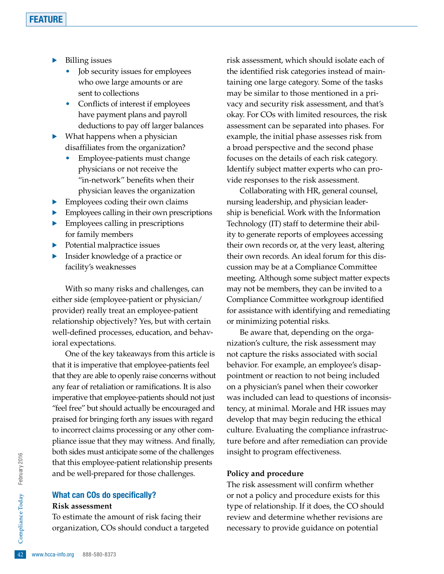- Billing issues
	- Job security issues for employees who owe large amounts or are sent to collections
	- Conflicts of interest if employees have payment plans and payroll deductions to pay off larger balances
- $\blacktriangleright$  What happens when a physician disaffiliates from the organization?
	- Employee-patients must change physicians or not receive the "in-network" benefits when their physician leaves the organization
- $\blacktriangleright$  Employees coding their own claims
- · Employees calling in their own prescriptions
- Employees calling in prescriptions for family members
- Potential malpractice issues
- Insider knowledge of a practice or facility's weaknesses

With so many risks and challenges, can either side (employee-patient or physician/ provider) really treat an employee-patient relationship objectively? Yes, but with certain well-defined processes, education, and behavioral expectations.

One of the key takeaways from this article is that it is imperative that employee-patients feel that they are able to openly raise concerns without any fear of retaliation or ramifications. It is also imperative that employee-patients should not just "feel free" but should actually be encouraged and praised for bringing forth any issues with regard to incorrect claims processing or any other compliance issue that they may witness. And finally, both sides must anticipate some of the challenges that this employee-patient relationship presents and be well-prepared for those challenges.

#### What can COs do specifically? **Risk assessment**

To estimate the amount of risk facing their<br>organization, COs should conduct a targete<br> $\frac{1}{2}$ <br>www.hcca-info.org 888-580-8373 organization, COs should conduct a targeted risk assessment, which should isolate each of the identified risk categories instead of maintaining one large category. Some of the tasks may be similar to those mentioned in a privacy and security risk assessment, and that's okay. For COs with limited resources, the risk assessment can be separated into phases. For example, the initial phase assesses risk from a broad perspective and the second phase focuses on the details of each risk category. Identify subject matter experts who can provide responses to the risk assessment.

Collaborating with HR, general counsel, nursing leadership, and physician leadership is beneficial. Work with the Information Technology (IT) staff to determine their ability to generate reports of employees accessing their own records or, at the very least, altering their own records. An ideal forum for this discussion may be at a Compliance Committee meeting. Although some subject matter expects may not be members, they can be invited to a Compliance Committee workgroup identified for assistance with identifying and remediating or minimizing potential risks.

Be aware that, depending on the organization's culture, the risk assessment may not capture the risks associated with social behavior. For example, an employee's disappointment or reaction to not being included on a physician's panel when their coworker was included can lead to questions of inconsistency, at minimal. Morale and HR issues may develop that may begin reducing the ethical culture. Evaluating the compliance infrastructure before and after remediation can provide insight to program effectiveness.

#### **Policy and procedure**

The risk assessment will confirm whether or not a policy and procedure exists for this type of relationship. If it does, the CO should review and determine whether revisions are necessary to provide guidance on potential